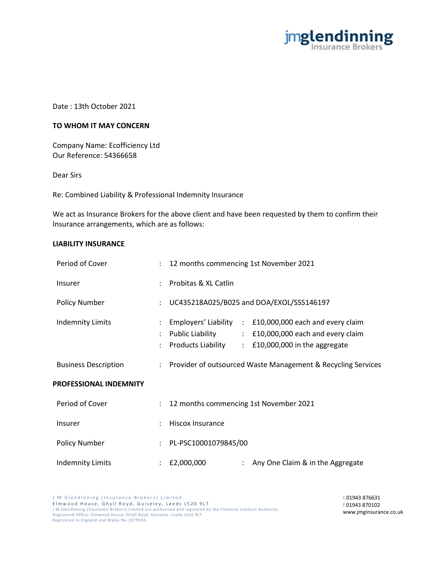

Date : 13th October 2021

## **TO WHOM IT MAY CONCERN**

Company Name: Ecofficiency Ltd Our Reference: 54366658

Dear Sirs

Re: Combined Liability & Professional Indemnity Insurance

We act as Insurance Brokers for the above client and have been requested by them to confirm their Insurance arrangements, which are as follows:

## **LIABILITY INSURANCE**

| Period of Cover               | $\ddot{\phantom{0}}$      | 12 months commencing 1st November 2021                                                                                                                                                                                                 |
|-------------------------------|---------------------------|----------------------------------------------------------------------------------------------------------------------------------------------------------------------------------------------------------------------------------------|
| <b>Insurer</b>                |                           | Probitas & XL Catlin                                                                                                                                                                                                                   |
| <b>Policy Number</b>          |                           | UC435218A025/B025 and DOA/EXOL/SS5146197                                                                                                                                                                                               |
| <b>Indemnity Limits</b>       |                           | Employers' Liability<br>£10,000,000 each and every claim<br>$\mathcal{L}^{\mathcal{L}}$ .<br>Public Liability<br>: £10,000,000 each and every claim<br>Products Liability<br>£10,000,000 in the aggregate<br>$\mathbb{R}^{\mathbb{Z}}$ |
| <b>Business Description</b>   |                           | : Provider of outsourced Waste Management & Recycling Services                                                                                                                                                                         |
| <b>PROFESSIONAL INDEMNITY</b> |                           |                                                                                                                                                                                                                                        |
| Period of Cover               | $\mathbb{R}^{\mathbb{Z}}$ | 12 months commencing 1st November 2021                                                                                                                                                                                                 |
| Insurer                       | $\ddot{\phantom{a}}$      | <b>Hiscox Insurance</b>                                                                                                                                                                                                                |
| <b>Policy Number</b>          | $\ddot{\phantom{a}}$      | PL-PSC10001079845/00                                                                                                                                                                                                                   |
| <b>Indemnity Limits</b>       |                           | £2,000,000<br>Any One Claim & in the Aggregate                                                                                                                                                                                         |

J M Glendinning (Insurance Brokers) Limited Elmwood House, Ghyll Royd, Guiseley, Leeds LS20 9LT J M Glendinning (Insurance Brokers) Limited are authorised and regulated by the Financial Conduct Authority. Registered Office: Elmwood House, Ghyll Royd, Guiseley , Leeds LS20 9LT Registered in England and Wales No.1079593.